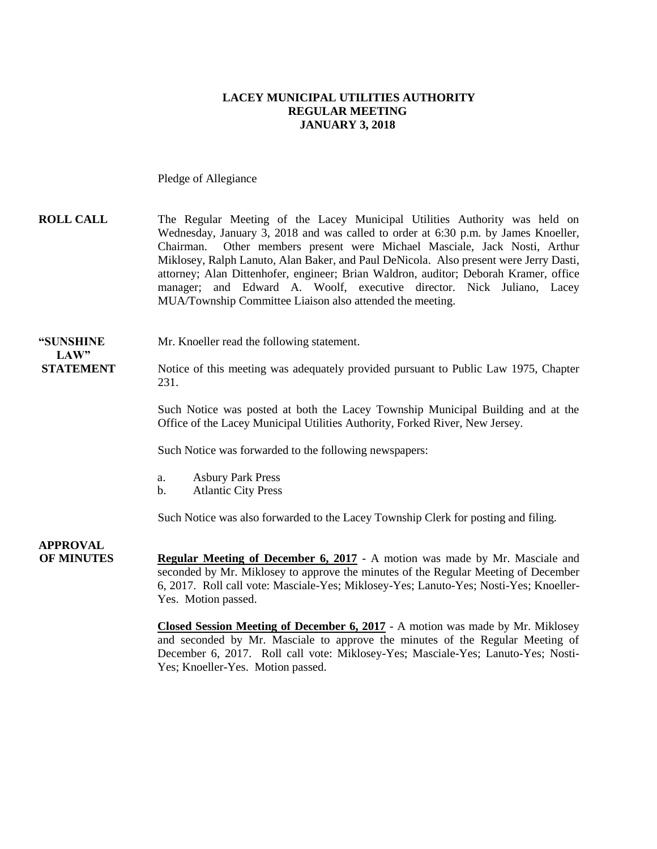#### **LACEY MUNICIPAL UTILITIES AUTHORITY REGULAR MEETING JANUARY 3, 2018**

Pledge of Allegiance

**ROLL CALL** The Regular Meeting of the Lacey Municipal Utilities Authority was held on Wednesday, January 3, 2018 and was called to order at 6:30 p.m. by James Knoeller, Chairman. Other members present were Michael Masciale, Jack Nosti, Arthur Miklosey, Ralph Lanuto, Alan Baker, and Paul DeNicola. Also present were Jerry Dasti, attorney; Alan Dittenhofer, engineer; Brian Waldron, auditor; Deborah Kramer, office manager; and Edward A. Woolf, executive director. Nick Juliano, Lacey MUA/Township Committee Liaison also attended the meeting.

#### **"SUNSHINE** Mr. Knoeller read the following statement.

# $LAW"$

**STATEMENT** Notice of this meeting was adequately provided pursuant to Public Law 1975, Chapter 231.

> Such Notice was posted at both the Lacey Township Municipal Building and at the Office of the Lacey Municipal Utilities Authority, Forked River, New Jersey.

Such Notice was forwarded to the following newspapers:

- a. Asbury Park Press
- b. Atlantic City Press

Such Notice was also forwarded to the Lacey Township Clerk for posting and filing.

**APPROVAL OF MINUTES Regular Meeting of December 6, 2017** - A motion was made by Mr. Masciale and seconded by Mr. Miklosey to approve the minutes of the Regular Meeting of December 6, 2017. Roll call vote: Masciale-Yes; Miklosey-Yes; Lanuto-Yes; Nosti-Yes; Knoeller-Yes. Motion passed.

> **Closed Session Meeting of December 6, 2017** - A motion was made by Mr. Miklosey and seconded by Mr. Masciale to approve the minutes of the Regular Meeting of December 6, 2017. Roll call vote: Miklosey-Yes; Masciale-Yes; Lanuto-Yes; Nosti-Yes; Knoeller-Yes. Motion passed.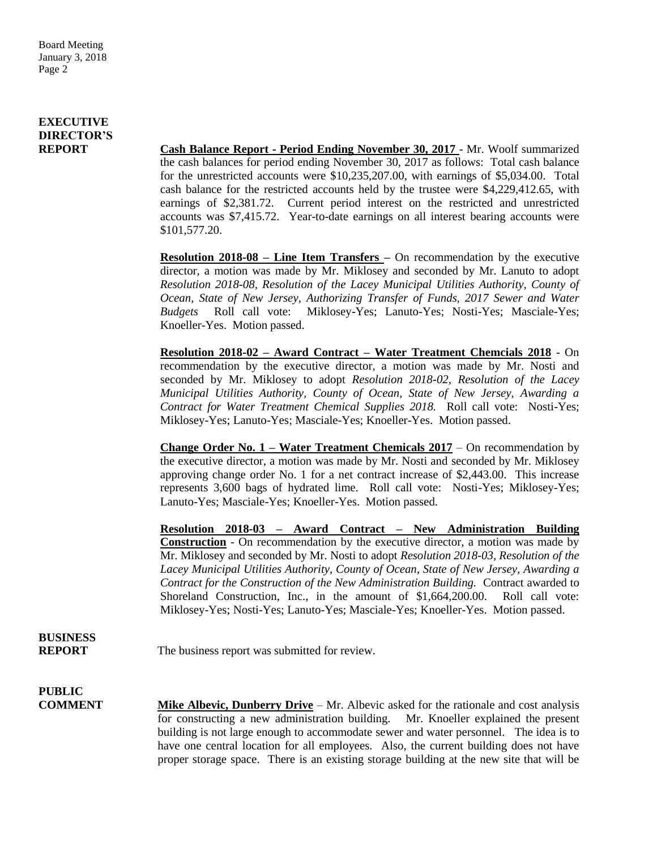### **EXECUTIVE DIRECTOR'S**

**REPORT Cash Balance Report - Period Ending November 30, 2017** - Mr. Woolf summarized the cash balances for period ending November 30, 2017 as follows: Total cash balance for the unrestricted accounts were \$10,235,207.00, with earnings of \$5,034.00. Total cash balance for the restricted accounts held by the trustee were \$4,229,412.65, with earnings of \$2,381.72. Current period interest on the restricted and unrestricted accounts was \$7,415.72. Year-to-date earnings on all interest bearing accounts were \$101,577.20.

> **Resolution 2018-08 – Line Item Transfers –** On recommendation by the executive director, a motion was made by Mr. Miklosey and seconded by Mr. Lanuto to adopt *Resolution 2018-08, Resolution of the Lacey Municipal Utilities Authority, County of Ocean, State of New Jersey, Authorizing Transfer of Funds, 2017 Sewer and Water Budgets* Roll call vote: Miklosey-Yes; Lanuto-Yes; Nosti-Yes; Masciale-Yes; Knoeller-Yes. Motion passed.

> **Resolution 2018-02 – Award Contract – Water Treatment Chemcials 2018** - On recommendation by the executive director, a motion was made by Mr. Nosti and seconded by Mr. Miklosey to adopt *Resolution 2018-02, Resolution of the Lacey Municipal Utilities Authority, County of Ocean, State of New Jersey, Awarding a Contract for Water Treatment Chemical Supplies 2018.* Roll call vote: Nosti-Yes; Miklosey-Yes; Lanuto-Yes; Masciale-Yes; Knoeller-Yes. Motion passed.

> **Change Order No. 1 – Water Treatment Chemicals 2017** – On recommendation by the executive director, a motion was made by Mr. Nosti and seconded by Mr. Miklosey approving change order No. 1 for a net contract increase of \$2,443.00. This increase represents 3,600 bags of hydrated lime. Roll call vote: Nosti-Yes; Miklosey-Yes; Lanuto-Yes; Masciale-Yes; Knoeller-Yes. Motion passed.

> **Resolution 2018-03 – Award Contract – New Administration Building Construction** - On recommendation by the executive director, a motion was made by Mr. Miklosey and seconded by Mr. Nosti to adopt *Resolution 2018-03, Resolution of the Lacey Municipal Utilities Authority, County of Ocean, State of New Jersey, Awarding a Contract for the Construction of the New Administration Building.* Contract awarded to Shoreland Construction, Inc., in the amount of \$1,664,200.00. Roll call vote: Miklosey-Yes; Nosti-Yes; Lanuto-Yes; Masciale-Yes; Knoeller-Yes. Motion passed.

## **BUSINESS**

**REPORT** The business report was submitted for review.

# **PUBLIC**

**COMMENT Mike Albevic, Dunberry Drive** – Mr. Albevic asked for the rationale and cost analysis for constructing a new administration building. Mr. Knoeller explained the present building is not large enough to accommodate sewer and water personnel. The idea is to have one central location for all employees. Also, the current building does not have proper storage space. There is an existing storage building at the new site that will be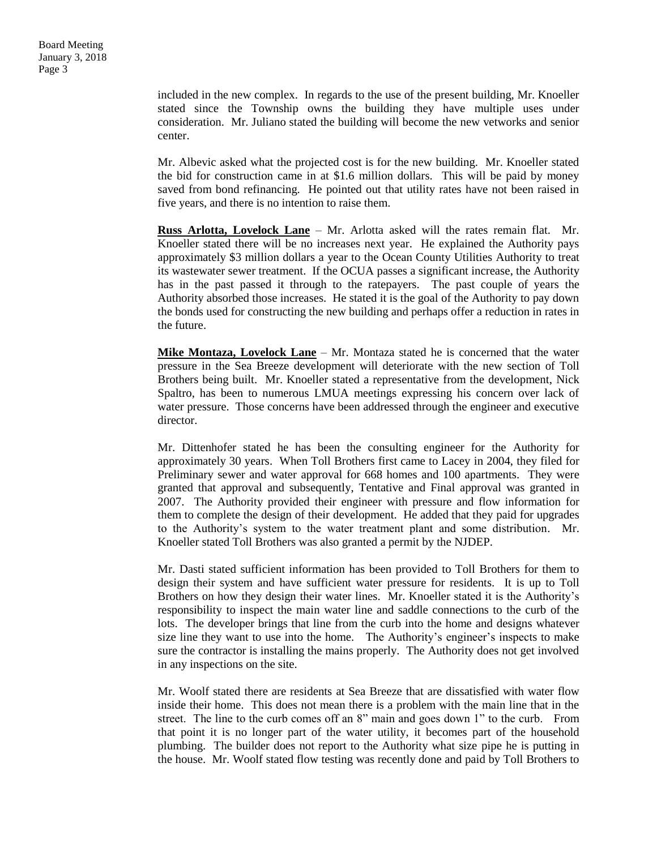included in the new complex. In regards to the use of the present building, Mr. Knoeller stated since the Township owns the building they have multiple uses under consideration. Mr. Juliano stated the building will become the new vetworks and senior center.

Mr. Albevic asked what the projected cost is for the new building. Mr. Knoeller stated the bid for construction came in at \$1.6 million dollars. This will be paid by money saved from bond refinancing. He pointed out that utility rates have not been raised in five years, and there is no intention to raise them.

**Russ Arlotta, Lovelock Lane** – Mr. Arlotta asked will the rates remain flat. Mr. Knoeller stated there will be no increases next year. He explained the Authority pays approximately \$3 million dollars a year to the Ocean County Utilities Authority to treat its wastewater sewer treatment. If the OCUA passes a significant increase, the Authority has in the past passed it through to the ratepayers. The past couple of years the Authority absorbed those increases. He stated it is the goal of the Authority to pay down the bonds used for constructing the new building and perhaps offer a reduction in rates in the future.

**Mike Montaza, Lovelock Lane** – Mr. Montaza stated he is concerned that the water pressure in the Sea Breeze development will deteriorate with the new section of Toll Brothers being built. Mr. Knoeller stated a representative from the development, Nick Spaltro, has been to numerous LMUA meetings expressing his concern over lack of water pressure. Those concerns have been addressed through the engineer and executive director.

Mr. Dittenhofer stated he has been the consulting engineer for the Authority for approximately 30 years. When Toll Brothers first came to Lacey in 2004, they filed for Preliminary sewer and water approval for 668 homes and 100 apartments. They were granted that approval and subsequently, Tentative and Final approval was granted in 2007. The Authority provided their engineer with pressure and flow information for them to complete the design of their development. He added that they paid for upgrades to the Authority's system to the water treatment plant and some distribution. Mr. Knoeller stated Toll Brothers was also granted a permit by the NJDEP.

Mr. Dasti stated sufficient information has been provided to Toll Brothers for them to design their system and have sufficient water pressure for residents. It is up to Toll Brothers on how they design their water lines. Mr. Knoeller stated it is the Authority's responsibility to inspect the main water line and saddle connections to the curb of the lots. The developer brings that line from the curb into the home and designs whatever size line they want to use into the home. The Authority's engineer's inspects to make sure the contractor is installing the mains properly. The Authority does not get involved in any inspections on the site.

Mr. Woolf stated there are residents at Sea Breeze that are dissatisfied with water flow inside their home. This does not mean there is a problem with the main line that in the street. The line to the curb comes off an 8" main and goes down 1" to the curb. From that point it is no longer part of the water utility, it becomes part of the household plumbing. The builder does not report to the Authority what size pipe he is putting in the house. Mr. Woolf stated flow testing was recently done and paid by Toll Brothers to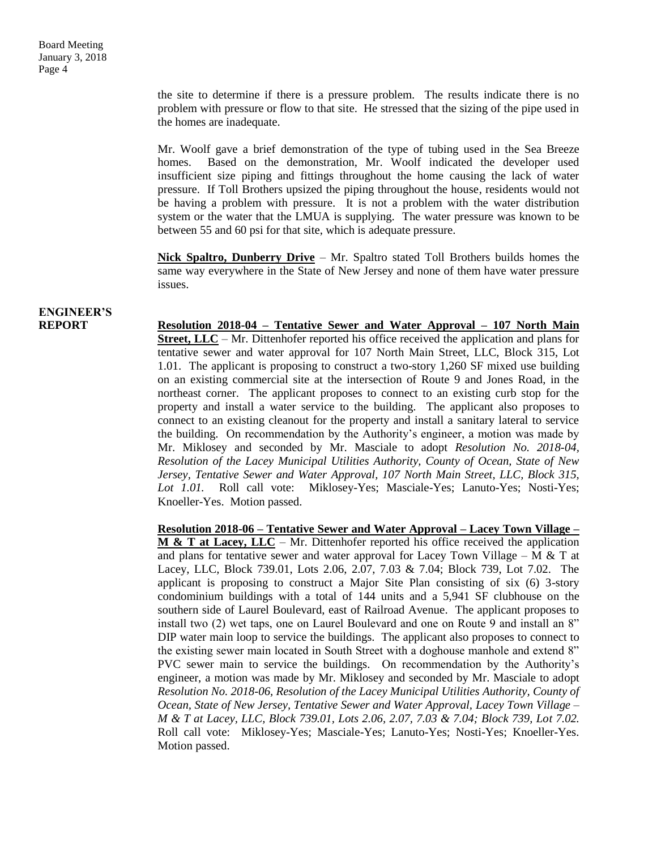the site to determine if there is a pressure problem. The results indicate there is no problem with pressure or flow to that site. He stressed that the sizing of the pipe used in the homes are inadequate.

Mr. Woolf gave a brief demonstration of the type of tubing used in the Sea Breeze homes. Based on the demonstration, Mr. Woolf indicated the developer used insufficient size piping and fittings throughout the home causing the lack of water pressure. If Toll Brothers upsized the piping throughout the house, residents would not be having a problem with pressure. It is not a problem with the water distribution system or the water that the LMUA is supplying. The water pressure was known to be between 55 and 60 psi for that site, which is adequate pressure.

**Nick Spaltro, Dunberry Drive** – Mr. Spaltro stated Toll Brothers builds homes the same way everywhere in the State of New Jersey and none of them have water pressure issues.

# **ENGINEER'S**

**REPORT Resolution 2018-04 – Tentative Sewer and Water Approval – 107 North Main Street, LLC** – Mr. Dittenhofer reported his office received the application and plans for tentative sewer and water approval for 107 North Main Street, LLC, Block 315, Lot 1.01. The applicant is proposing to construct a two-story 1,260 SF mixed use building on an existing commercial site at the intersection of Route 9 and Jones Road, in the northeast corner. The applicant proposes to connect to an existing curb stop for the property and install a water service to the building. The applicant also proposes to connect to an existing cleanout for the property and install a sanitary lateral to service the building. On recommendation by the Authority's engineer, a motion was made by Mr. Miklosey and seconded by Mr. Masciale to adopt *Resolution No. 2018-04, Resolution of the Lacey Municipal Utilities Authority, County of Ocean, State of New Jersey, Tentative Sewer and Water Approval, 107 North Main Street, LLC, Block 315, Lot 1.01.* Roll call vote: Miklosey-Yes; Masciale-Yes; Lanuto-Yes; Nosti-Yes; Knoeller-Yes. Motion passed.

> **Resolution 2018-06 – Tentative Sewer and Water Approval – Lacey Town Village – M & T at Lacey, LLC** – Mr. Dittenhofer reported his office received the application and plans for tentative sewer and water approval for Lacey Town Village – M  $\&$  T at Lacey, LLC, Block 739.01, Lots 2.06, 2.07, 7.03 & 7.04; Block 739, Lot 7.02. The applicant is proposing to construct a Major Site Plan consisting of six (6) 3-story condominium buildings with a total of 144 units and a 5,941 SF clubhouse on the southern side of Laurel Boulevard, east of Railroad Avenue. The applicant proposes to install two (2) wet taps, one on Laurel Boulevard and one on Route 9 and install an 8" DIP water main loop to service the buildings. The applicant also proposes to connect to the existing sewer main located in South Street with a doghouse manhole and extend 8" PVC sewer main to service the buildings. On recommendation by the Authority's engineer, a motion was made by Mr. Miklosey and seconded by Mr. Masciale to adopt *Resolution No. 2018-06, Resolution of the Lacey Municipal Utilities Authority, County of Ocean, State of New Jersey, Tentative Sewer and Water Approval, Lacey Town Village – M & T at Lacey, LLC, Block 739.01, Lots 2.06, 2.07, 7.03 & 7.04; Block 739, Lot 7.02.*  Roll call vote: Miklosey-Yes; Masciale-Yes; Lanuto-Yes; Nosti-Yes; Knoeller-Yes. Motion passed.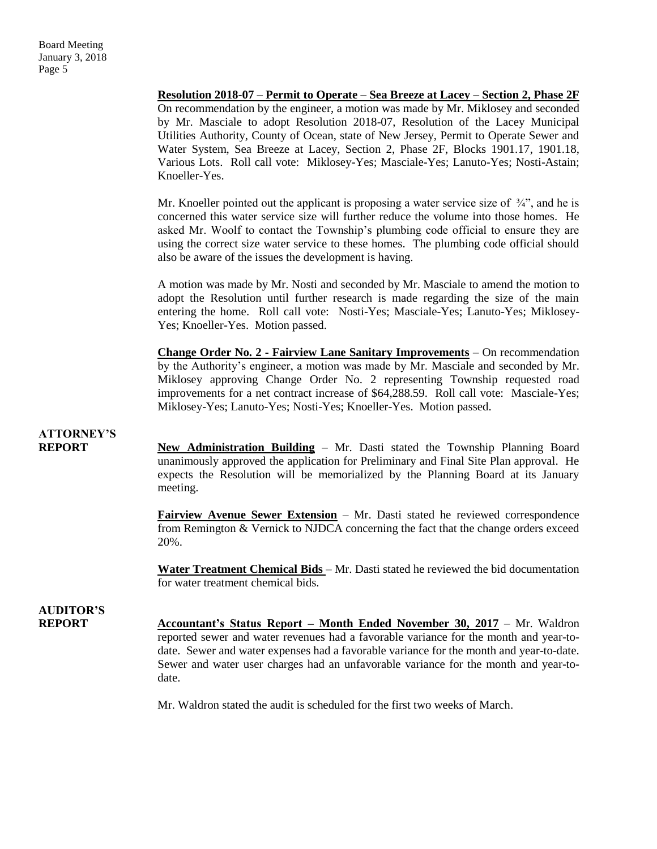On recommendation by the engineer, a motion was made by Mr. Miklosey and seconded by Mr. Masciale to adopt Resolution 2018-07, Resolution of the Lacey Municipal Utilities Authority, County of Ocean, state of New Jersey, Permit to Operate Sewer and Water System, Sea Breeze at Lacey, Section 2, Phase 2F, Blocks 1901.17, 1901.18, Various Lots. Roll call vote: Miklosey-Yes; Masciale-Yes; Lanuto-Yes; Nosti-Astain; Knoeller-Yes. Mr. Knoeller pointed out the applicant is proposing a water service size of  $\frac{3}{4}$ , and he is concerned this water service size will further reduce the volume into those homes. He asked Mr. Woolf to contact the Township's plumbing code official to ensure they are using the correct size water service to these homes. The plumbing code official should also be aware of the issues the development is having. A motion was made by Mr. Nosti and seconded by Mr. Masciale to amend the motion to adopt the Resolution until further research is made regarding the size of the main entering the home. Roll call vote: Nosti-Yes; Masciale-Yes; Lanuto-Yes; Miklosey-Yes; Knoeller-Yes. Motion passed. **Change Order No. 2 - Fairview Lane Sanitary Improvements** – On recommendation by the Authority's engineer, a motion was made by Mr. Masciale and seconded by Mr. Miklosey approving Change Order No. 2 representing Township requested road improvements for a net contract increase of \$64,288.59. Roll call vote: Masciale-Yes; Miklosey-Yes; Lanuto-Yes; Nosti-Yes; Knoeller-Yes. Motion passed. **ATTORNEY'S REPORT New Administration Building** – Mr. Dasti stated the Township Planning Board unanimously approved the application for Preliminary and Final Site Plan approval. He expects the Resolution will be memorialized by the Planning Board at its January meeting. **Fairview Avenue Sewer Extension** – Mr. Dasti stated he reviewed correspondence from Remington & Vernick to NJDCA concerning the fact that the change orders exceed 20%. **Water Treatment Chemical Bids** – Mr. Dasti stated he reviewed the bid documentation for water treatment chemical bids. **AUDITOR'S REPORT Accountant's Status Report – Month Ended November 30, 2017** – Mr. Waldron reported sewer and water revenues had a favorable variance for the month and year-todate. Sewer and water expenses had a favorable variance for the month and year-to-date. Sewer and water user charges had an unfavorable variance for the month and year-todate. Mr. Waldron stated the audit is scheduled for the first two weeks of March.

**Resolution 2018-07 – Permit to Operate – Sea Breeze at Lacey – Section 2, Phase 2F**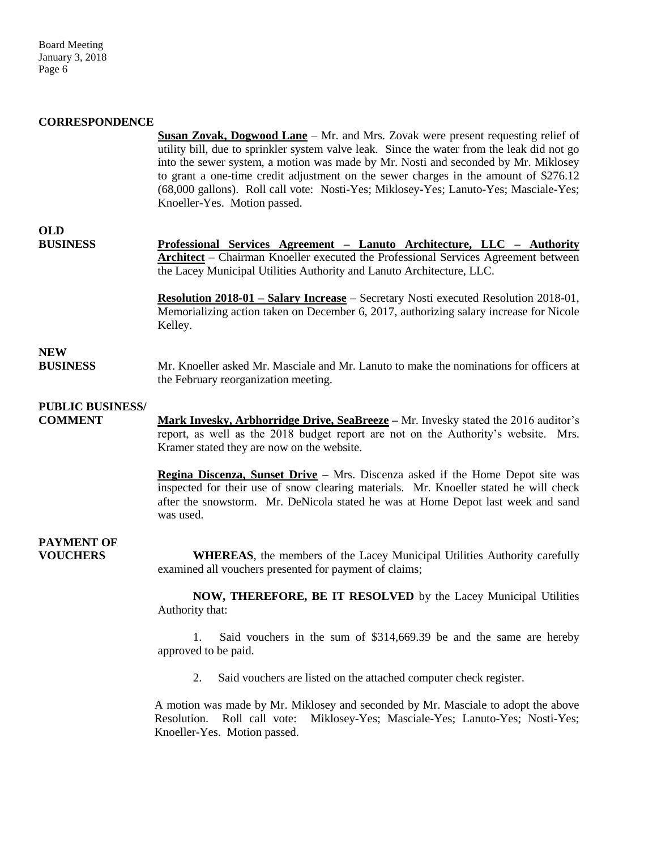#### **CORRESPONDENCE**

**Susan Zovak, Dogwood Lane** – Mr. and Mrs. Zovak were present requesting relief of utility bill, due to sprinkler system valve leak. Since the water from the leak did not go into the sewer system, a motion was made by Mr. Nosti and seconded by Mr. Miklosey to grant a one-time credit adjustment on the sewer charges in the amount of \$276.12 (68,000 gallons). Roll call vote: Nosti-Yes; Miklosey-Yes; Lanuto-Yes; Masciale-Yes; Knoeller-Yes. Motion passed.

### **OLD**

**BUSINESS Professional Services Agreement – Lanuto Architecture, LLC – Authority Architect** – Chairman Knoeller executed the Professional Services Agreement between the Lacey Municipal Utilities Authority and Lanuto Architecture, LLC.

> **Resolution 2018-01 – Salary Increase** – Secretary Nosti executed Resolution 2018-01, Memorializing action taken on December 6, 2017, authorizing salary increase for Nicole Kelley.

### **NEW**

**BUSINESS** Mr. Knoeller asked Mr. Masciale and Mr. Lanuto to make the nominations for officers at the February reorganization meeting.

### **PUBLIC BUSINESS/**

**COMMENT Mark Invesky, Arbhorridge Drive, SeaBreeze –** Mr. Invesky stated the 2016 auditor's report, as well as the 2018 budget report are not on the Authority's website. Mrs. Kramer stated they are now on the website.

> **Regina Discenza, Sunset Drive –** Mrs. Discenza asked if the Home Depot site was inspected for their use of snow clearing materials. Mr. Knoeller stated he will check after the snowstorm. Mr. DeNicola stated he was at Home Depot last week and sand was used.

## **PAYMENT OF**

**VOUCHERS WHEREAS**, the members of the Lacey Municipal Utilities Authority carefully examined all vouchers presented for payment of claims;

> **NOW, THEREFORE, BE IT RESOLVED** by the Lacey Municipal Utilities Authority that:

> 1. Said vouchers in the sum of \$314,669.39 be and the same are hereby approved to be paid.

2. Said vouchers are listed on the attached computer check register.

A motion was made by Mr. Miklosey and seconded by Mr. Masciale to adopt the above Resolution. Roll call vote: Miklosey-Yes; Masciale-Yes; Lanuto-Yes; Nosti-Yes; Knoeller-Yes. Motion passed.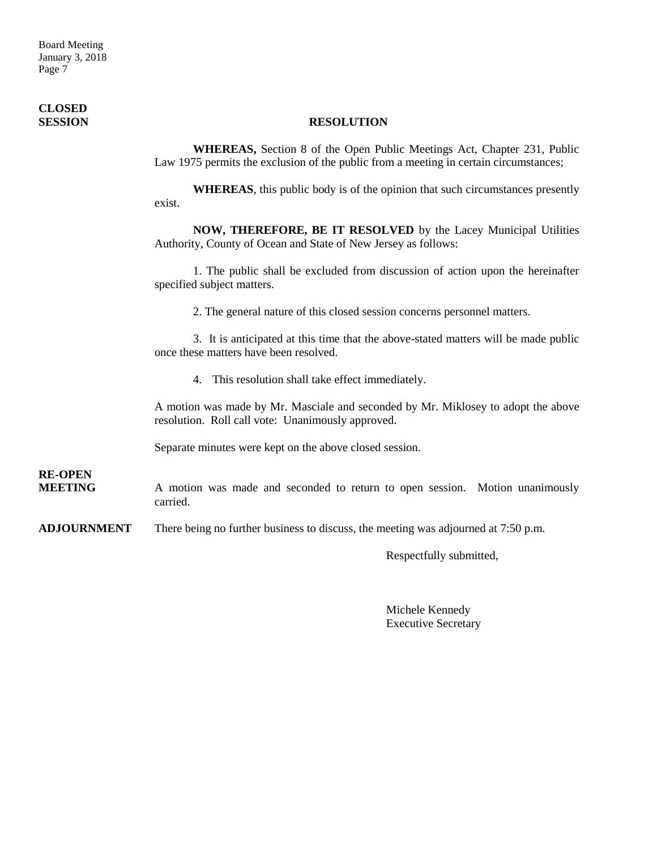Board Meeting January 3, 2018 Page 7

# **CLOSED**

#### **SESSION RESOLUTION**

**WHEREAS,** Section 8 of the Open Public Meetings Act, Chapter 231, Public Law 1975 permits the exclusion of the public from a meeting in certain circumstances;

**WHEREAS**, this public body is of the opinion that such circumstances presently exist.

**NOW, THEREFORE, BE IT RESOLVED** by the Lacey Municipal Utilities Authority, County of Ocean and State of New Jersey as follows:

1. The public shall be excluded from discussion of action upon the hereinafter specified subject matters.

2. The general nature of this closed session concerns personnel matters.

3. It is anticipated at this time that the above-stated matters will be made public once these matters have been resolved.

4. This resolution shall take effect immediately.

A motion was made by Mr. Masciale and seconded by Mr. Miklosey to adopt the above resolution. Roll call vote: Unanimously approved.

Separate minutes were kept on the above closed session.

**RE-OPEN**

**MEETING** A motion was made and seconded to return to open session. Motion unanimously carried.

**ADJOURNMENT** There being no further business to discuss, the meeting was adjourned at 7:50 p.m.

Respectfully submitted,

Michele Kennedy Executive Secretary